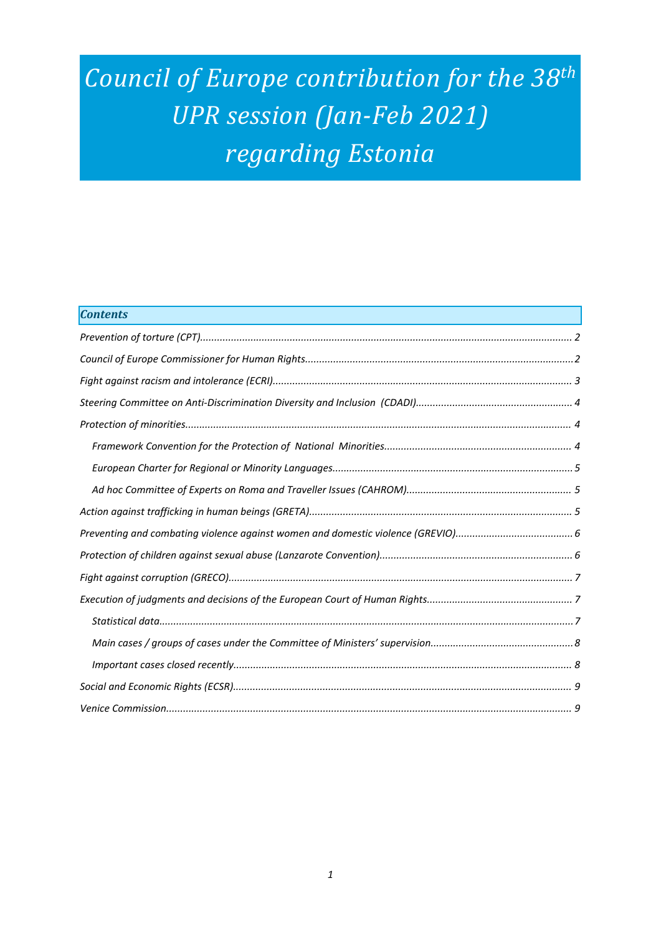# *Council of Europe contribution for the <sup>38</sup>th UPR session (Jan-Feb 2021) regarding Estonia*

| <b>Contents</b> |
|-----------------|
|                 |
|                 |
|                 |
|                 |
|                 |
|                 |
|                 |
|                 |
|                 |
|                 |
|                 |
|                 |
|                 |
|                 |
|                 |
|                 |
|                 |
|                 |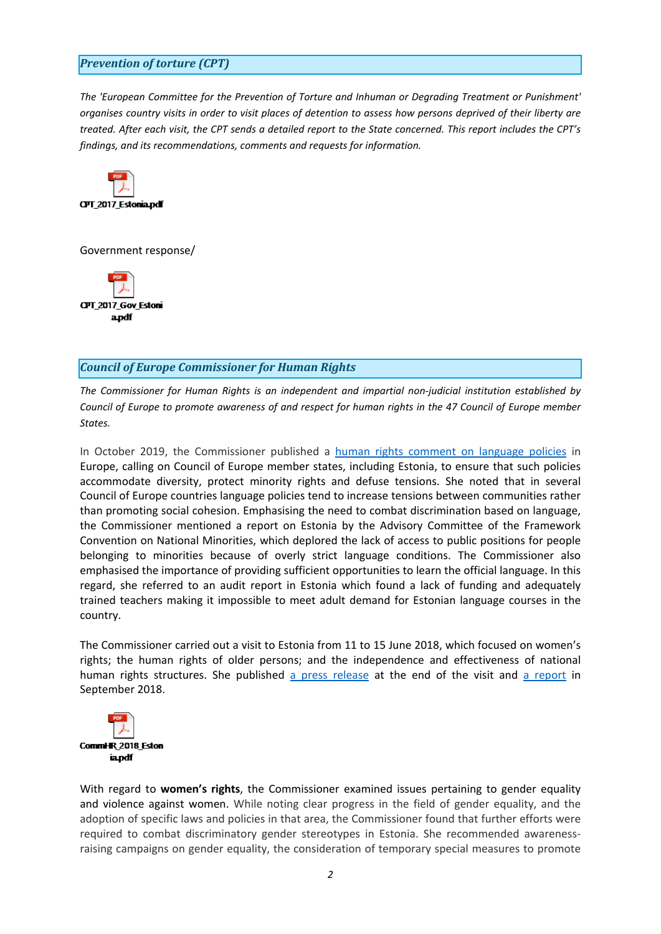## <span id="page-1-0"></span>*Prevention of torture (CPT)*

*The 'European Committee for the Prevention of Torture and Inhuman or Degrading Treatment or Punishment'* organises country visits in order to visit places of detention to assess how persons deprived of their liberty are treated. After each visit, the CPT sends a detailed report to the State concerned. This report includes the CPT's *findings, and its recommendations, comments and requests for information.*



Government response/



### *Council of Europe Commissioner for Human Rights*

*The Commissioner for Human Rights is an independent and impartial non-judicial institution established by* Council of Europe to promote awareness of and respect for human rights in the 47 Council of Europe member *States.*

In October 2019, the Commissioner published <sup>a</sup> human rights comment on [language](https://www.coe.int/en/web/commissioner/-/language-policies-should-accomodate-diversity-protect-minority-rights-and-defuse-tensions) policies in Europe, calling on Council of Europe member states, including Estonia, to ensure that such policies accommodate diversity, protect minority rights and defuse tensions. She noted that in several Council of Europe countries language policies tend to increase tensions between communities rather than promoting social cohesion. Emphasising the need to combat discrimination based on language, the Commissioner mentioned <sup>a</sup> report on Estonia by the Advisory Committee of the Framework Convention on National Minorities, which deplored the lack of access to public positions for people belonging to minorities because of overly strict language conditions. The Commissioner also emphasised the importance of providing sufficient opportunities to learn the official language. In this regard, she referred to an audit report in Estonia which found <sup>a</sup> lack of funding and adequately trained teachers making it impossible to meet adult demand for Estonian language courses in the country.

The Commissioner carried out <sup>a</sup> visit to Estonia from 11 to 15 June 2018, which focused on women'<sup>s</sup> rights; the human rights of older persons; and the independence and effectiveness of national human rights structures. She published <sup>a</sup> press [release](https://www.coe.int/en/web/commissioner/-/estonia-human-rights-should-steer-policies-for-women-older-persons-minorities) at the end of the visit and <sup>a</sup> [report](https://www.coe.int/en/web/commissioner/-/estonia-should-adopt-more-human-rights-oriented-policies-to-improve-the-protection-of-women-and-the-inclusion-of-older-persons) in September 2018.



With regard to **women'<sup>s</sup> rights**, the Commissioner examined issues pertaining to gender equality and violence against women. While noting clear progress in the field of gender equality, and the adoption of specific laws and policies in that area, the Commissioner found that further efforts were required to combat discriminatory gender stereotypes in Estonia. She recommended awarenessraising campaigns on gender equality, the consideration of temporary special measures to promote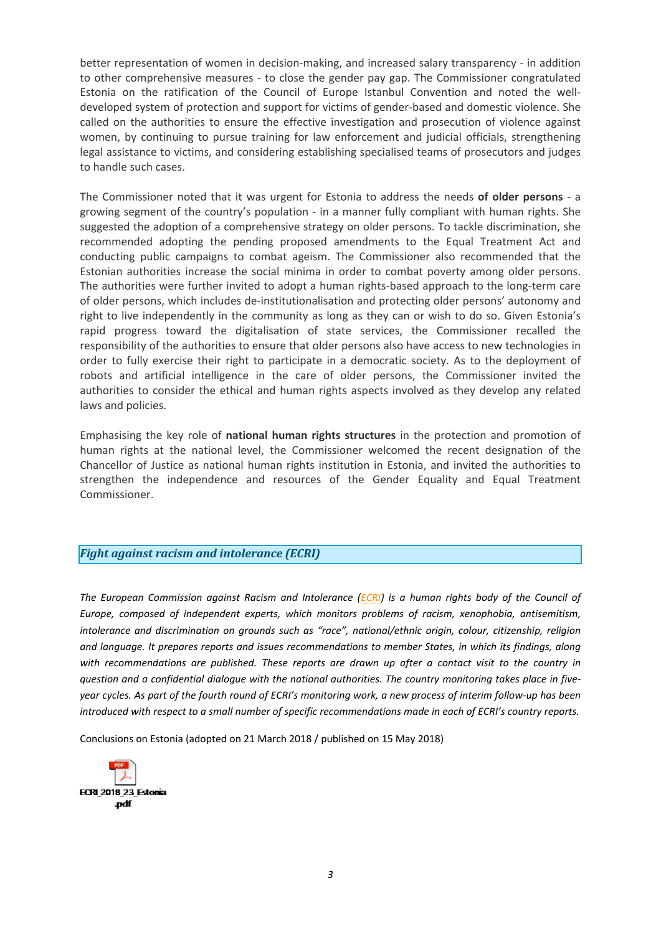<span id="page-2-0"></span>better representation of women in decision-making, and increased salary transparency - in addition to other comprehensive measures - to close the gender pay gap. The Commissioner congratulated Estonia on the ratification of the Council of Europe Istanbul Convention and noted the welldeveloped system of protection and support for victims of gender-based and domestic violence. She called on the authorities to ensure the effective investigation and prosecution of violence against women, by continuing to pursue training for law enforcement and judicial officials, strengthening legal assistance to victims, and considering establishing specialised teams of prosecutors and judges to handle such cases.

The Commissioner noted that it was urgent for Estonia to address the needs **of older persons** - <sup>a</sup> growing segment of the country'<sup>s</sup> population - in <sup>a</sup> manner fully compliant with human rights. She suggested the adoption of <sup>a</sup> comprehensive strategy on older persons. To tackle discrimination, she recommended adopting the pending proposed amendments to the Equal Treatment Act and conducting public campaigns to combat ageism. The Commissioner also recommended that the Estonian authorities increase the social minima in order to combat poverty among older persons. The authorities were further invited to adopt <sup>a</sup> human rights-based approach to the long-term care of older persons, which includes de-institutionalisation and protecting older persons' autonomy and right to live independently in the community as long as they can or wish to do so. Given Estonia'<sup>s</sup> rapid progress toward the digitalisation of state services, the Commissioner recalled the responsibility of the authorities to ensure that older persons also have access to new technologies in order to fully exercise their right to participate in <sup>a</sup> democratic society. As to the deployment of robots and artificial intelligence in the care of older persons, the Commissioner invited the authorities to consider the ethical and human rights aspects involved as they develop any related laws and policies.

Emphasising the key role of **national human rights structures** in the protection and promotion of human rights at the national level, the Commissioner welcomed the recent designation of the Chancellor of Justice as national human rights institution in Estonia, and invited the authorities to strengthen the independence and resources of the Gender Equality and Equal Treatment Commissioner.

## *Fight against racism and intolerance (ECRI)*

*The European Commission against Racism and Intolerance [\(ECRI\)](http://www.coe.int/t/dghl/monitoring/ecri/default_en.asp) is <sup>a</sup> human rights body of the Council of Europe, composed of independent experts, which monitors problems of racism, xenophobia, antisemitism, intolerance and discrimination on grounds such as "race", national/ethnic origin, colour, citizenship, religion and language. It prepares reports and issues recommendations to member States, in which its findings, along with recommendations are published. These reports are drawn up after <sup>a</sup> contact visit to the country in question and <sup>a</sup> confidential dialogue with the national authorities. The country monitoring takes place in five*year cycles. As part of the fourth round of ECRI's monitoring work, a new process of interim follow-up has been introduced with respect to a small number of specific recommendations made in each of ECRI's country reports.

Conclusions on Estonia (adopted on 21 March 2018 / published on 15 May 2018)

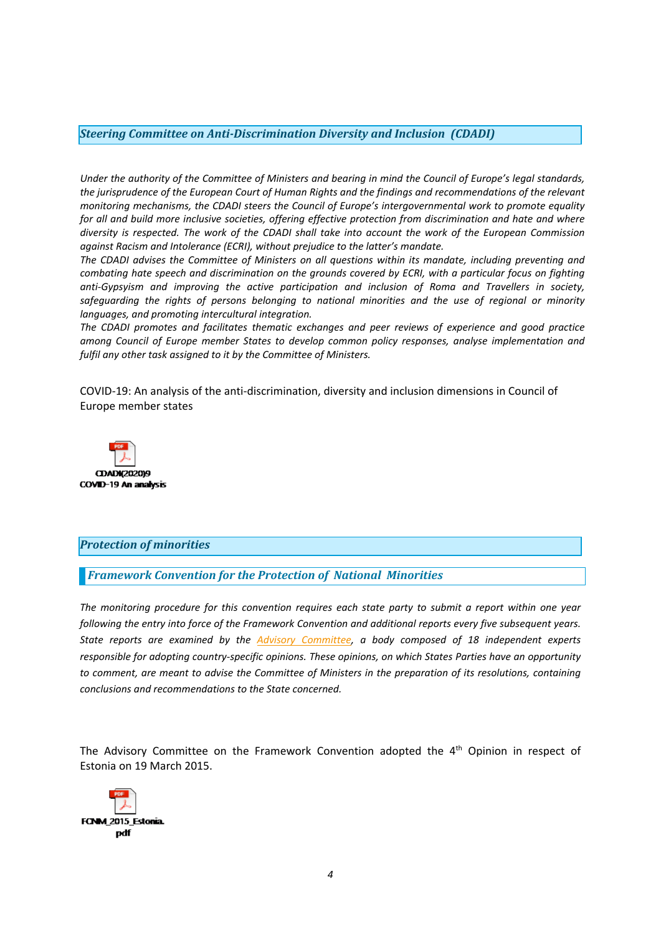#### <span id="page-3-0"></span>*Steering Committee on Anti-Discrimination Diversity and Inclusion (CDADI)*

Under the authority of the Committee of Ministers and bearing in mind the Council of Europe's legal standards, the jurisprudence of the European Court of Human Rights and the findings and recommendations of the relevant *monitoring mechanisms, the CDADI steers the Council of Europe'<sup>s</sup> intergovernmental work to promote equality for all and build more inclusive societies, offering effective protection from discrimination and hate and where* diversity is respected. The work of the CDADI shall take into account the work of the European Commission *against Racism and Intolerance (ECRI), without prejudice to the latter'<sup>s</sup> mandate.*

*The CDADI advises the Committee of Ministers on all questions within its mandate, including preventing and* combating hate speech and discrimination on the grounds covered by ECRI, with a particular focus on fighting *anti-Gypsyism and improving the active participation and inclusion of Roma and Travellers in society, safeguarding the rights of persons belonging to national minorities and the use of regional or minority languages, and promoting intercultural integration.*

*The CDADI promotes and facilitates thematic exchanges and peer reviews of experience and good practice among Council of Europe member States to develop common policy responses, analyse implementation and fulfil any other task assigned to it by the Committee of Ministers.*

COVID-19: An analysis of the anti-discrimination, diversity and inclusion dimensions in Council of Europe member states



### *Protection of minorities*

### *Framework Convention for the Protection of National Minorities*

*The monitoring procedure for this convention requires each state party to submit <sup>a</sup> report within one year following the entry into force of the Framework Convention and additional reports every five subsequent years. State reports are examined by the Advisory [Committee,](http://www.coe.int/en/web/minorities/monitoring) <sup>a</sup> body composed of 18 independent experts responsible for adopting country-specific opinions. These opinions, on which States Parties have an opportunity* to comment, are meant to advise the Committee of Ministers in the preparation of its resolutions, containing *conclusions and recommendations to the State concerned.*

The Advisory Committee on the Framework Convention adopted the 4<sup>th</sup> Opinion in respect of Estonia on 19 March 2015.

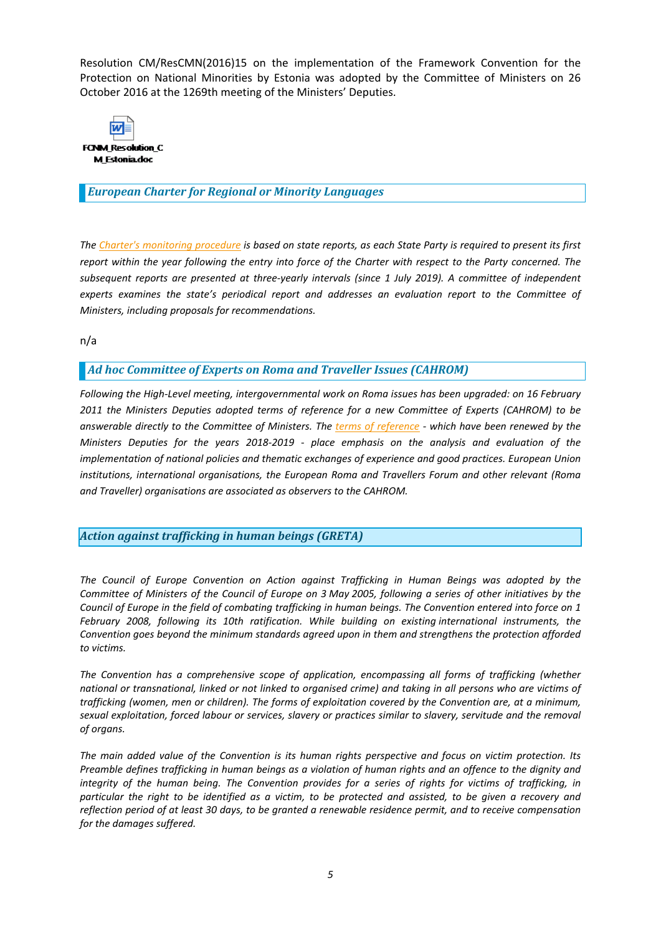<span id="page-4-0"></span>Resolution CM/ResCMN(2016)15 on the implementation of the Framework Convention for the Protection on National Minorities by Estonia was adopted by the Committee of Ministers on 26 October 2016 at the 1269th meeting of the Ministers' Deputies.



#### *European Charter for Regional or Minority Languages*

The Charter's [monitoring](http://www.coe.int/t/dg4/education/minlang/Report/) procedure is based on state reports, as each State Party is required to present its first report within the year following the entry into force of the Charter with respect to the Party concerned. The *subsequent reports are presented at three-yearly intervals (since 1 July 2019). A committee of independent experts examines the state'<sup>s</sup> periodical report and addresses an evaluation report to the Committee of Ministers, including proposals for recommendations.*

n/a

### *Ad hoc Committee of Experts on Roma and Traveller Issues (CAHROM)*

*Following the High-Level meeting, intergovernmental work on Roma issues has been upgraded: on 16 February 2011 the Ministers Deputies adopted terms of reference for <sup>a</sup> new Committee of Experts (CAHROM) to be* answerable directly to the Committee of Ministers. The terms of [reference](http://rm.coe.int/cahrom-2017-28-en-final-terms-of-reference-2018-2019/168077dc8a) - which have been renewed by the *Ministers Deputies for the years 2018-2019 - place emphasis on the analysis and evaluation of the implementation of national policies and thematic exchanges of experience and good practices. European Union institutions, international organisations, the European Roma and Travellers Forum and other relevant (Roma and Traveller) organisations are associated as observers to the CAHROM.*

### *Action against trafficking in human beings (GRETA)*

*The Council of Europe Convention on Action against Trafficking in Human Beings was adopted by the* Committee of Ministers of the Council of Europe on 3 May 2005, following a series of other initiatives by the Council of Europe in the field of combating trafficking in human beings. The Convention entered into force on 1 *February 2008, following its 10th ratification. While building on existing international instruments, the Convention goes beyond the minimum standards agreed upon in them and strengthens the protection afforded to victims.*

*The Convention has <sup>a</sup> comprehensive scope of application, encompassing all forms of trafficking (whether* national or transnational, linked or not linked to organised crime) and taking in all persons who are victims of trafficking (women, men or children). The forms of exploitation covered by the Convention are, at a minimum, sexual exploitation, forced labour or services, slavery or practices similar to slavery, servitude and the removal *of organs.*

The main added value of the Convention is its human rights perspective and focus on victim protection. Its Preamble defines trafficking in human beings as a violation of human rights and an offence to the dignity and integrity of the human being. The Convention provides for a series of rights for victims of trafficking, in particular the right to be identified as a victim, to be protected and assisted, to be given a recovery and reflection period of at least 30 days, to be granted a renewable residence permit, and to receive compensation *for the damages suffered.*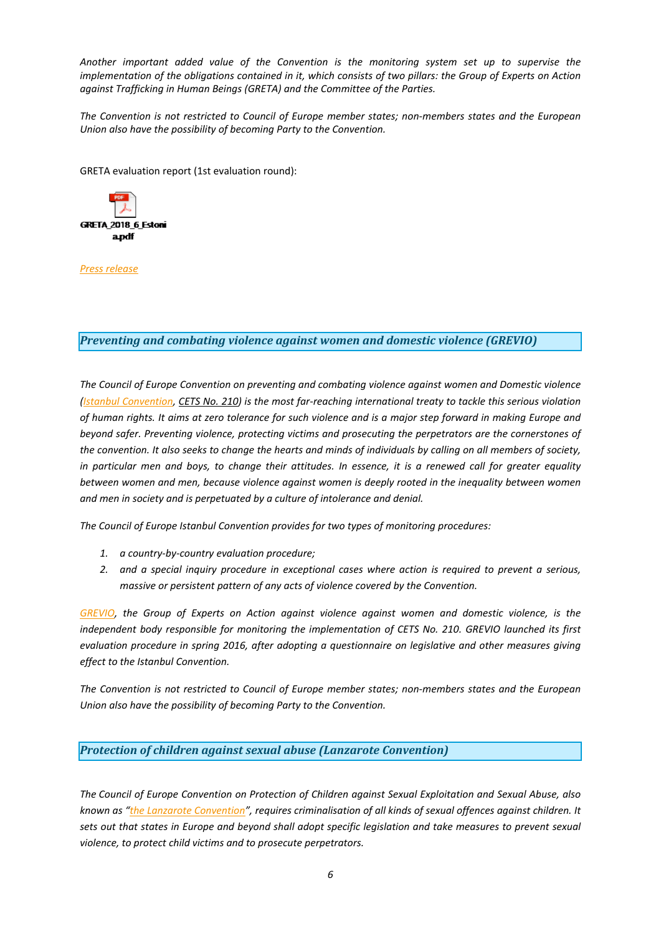<span id="page-5-0"></span>*Another important added value of the Convention is the monitoring system set up to supervise the* implementation of the obligations contained in it, which consists of two pillars: the Group of Experts on Action *against Trafficking in Human Beings (GRETA) and the Committee of the Parties.*

*The Convention is not restricted to Council of Europe member states; non-members states and the European Union also have the possibility of becoming Party to the Convention.*

GRETA evaluation report (1st evaluation round):



*Press [release](https://www.coe.int/en/web/anti-human-trafficking/news/-/asset_publisher/fX6ZWufj34JY/content/pubication-of-greta-s-first-report-on-estonia?inheritRedirect=false&redirect=https%3A%2F%2Fwww.coe.int%2Fen%2Fweb%2Fanti-human-trafficking%2Fnews%3Fp_p_id%3D101_INSTANCE_fX6ZWufj34JY%26p_p_lifecycle%3D0%26p_p_state%3Dnormal%26p_p_mode%3Dview%26p_p_col_id%3Dcolumn-4%26p_p_col_count%3D1%26_101_INSTANCE_fX6ZWufj34JY_advancedSearch%3Dfalse%26_101_INSTANCE_fX6ZWufj34JY_keywords%3D%26_101_INSTANCE_fX6ZWufj34JY_delta%3D20%26p_r_p_564233524_resetCur%3Dfalse%26_101_INSTANCE_fX6ZWufj34JY_cur%3D4%26_101_INSTANCE_fX6ZWufj34JY_andOperator%3Dtrue)*

*Preventing and combating violence against women and domestic violence (GREVIO)*

*The Council of Europe Convention on preventing and combating violence against women and Domestic violence* (Istanbul [Convention,](https://www.coe.int/en/web/conventions/full-list/-/conventions/treaty/210) CETS No. [210\)](https://www.coe.int/en/web/conventions/full-list/-/conventions/treaty/210) is the most far-reaching international treaty to tackle this serious violation of human rights. It aims at zero tolerance for such violence and is a major step forward in making Europe and *beyond safer. Preventing violence, protecting victims and prosecuting the perpetrators are the cornerstones of* the convention. It also seeks to change the hearts and minds of individuals by calling on all members of society, in particular men and boys, to change their attitudes. In essence, it is a renewed call for greater equality *between women and men, because violence against women is deeply rooted in the inequality between women and men in society and is perpetuated by <sup>a</sup> culture of intolerance and denial.*

*The Council of Europe Istanbul Convention provides for two types of monitoring procedures:*

- *1. <sup>a</sup> country-by-country evaluation procedure;*
- *2. and <sup>a</sup> special inquiry procedure in exceptional cases where action is required to prevent <sup>a</sup> serious, massive or persistent pattern of any acts of violence covered by the Convention.*

*[GREVIO,](https://www.coe.int/en/web/istanbul-convention/grevio) the Group of Experts on Action against violence against women and domestic violence, is the independent body responsible for monitoring the implementation of CETS No. 210. GREVIO launched its first evaluation procedure in spring 2016, after adopting <sup>a</sup> questionnaire on legislative and other measures giving effect to the Istanbul Convention.*

*The Convention is not restricted to Council of Europe member states; non-members states and the European Union also have the possibility of becoming Party to the Convention.*

### *Protection of children against sexual abuse (Lanzarote Convention)*

*The Council of Europe Convention on Protection of Children against Sexual Exploitation and Sexual Abuse, also* known as "the Lanzarote [Convention](https://www.coe.int/en/web/children/lanzarote-convention)", requires criminalisation of all kinds of sexual offences against children. It sets out that states in Europe and beyond shall adopt specific legislation and take measures to prevent sexual *violence, to protect child victims and to prosecute perpetrators.*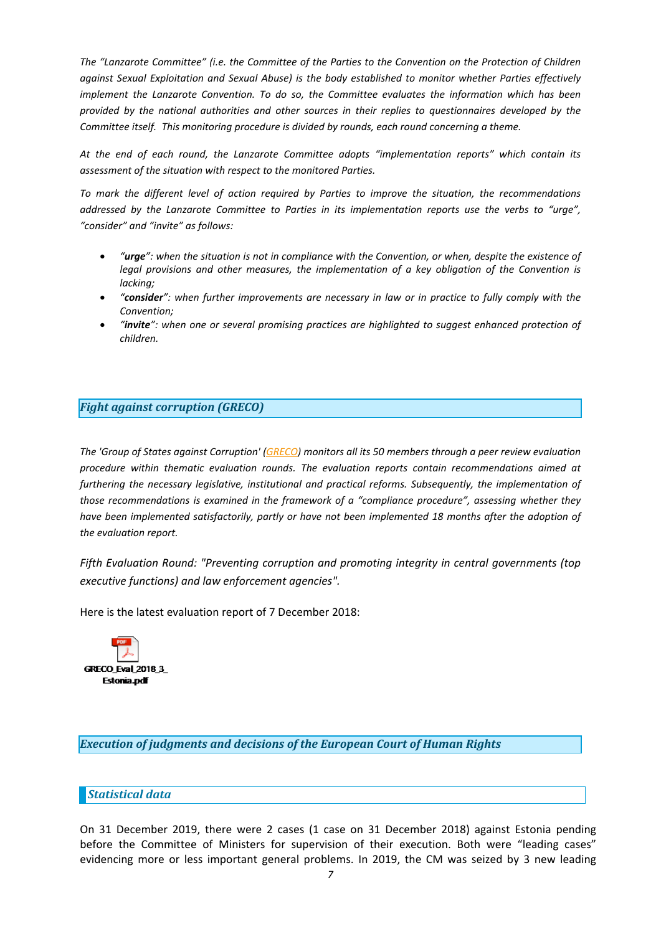<span id="page-6-0"></span>The "Lanzarote Committee" (i.e. the Committee of the Parties to the Convention on the Protection of Children *against Sexual Exploitation and Sexual Abuse) is the body established to monitor whether Parties effectively implement the Lanzarote Convention. To do so, the Committee evaluates the information which has been provided by the national authorities and other sources in their replies to questionnaires developed by the Committee itself. This monitoring procedure is divided by rounds, each round concerning <sup>a</sup> theme.*

*At the end of each round, the Lanzarote Committee adopts "implementation reports" which contain its assessment of the situation with respect to the monitored Parties.*

*To mark the different level of action required by Parties to improve the situation, the recommendations* addressed by the Lanzarote Committee to Parties in its implementation reports use the verbs to "urge", *"consider" and "invite" as follows:*

- c "urge": when the situation is not in compliance with the Convention, or when, despite the existence of *legal provisions and other measures, the implementation of <sup>a</sup> key obligation of the Convention is lacking;*
- c "consider": when further improvements are necessary in law or in practice to fully comply with the *Convention;*
- c *"invite": when one or several promising practices are highlighted to suggest enhanced protection of children.*

### *Fight against corruption (GRECO)*

The 'Group of States against Corruption' [\(GRECO](http://www.coe.int/t/dghl/monitoring/greco/default_en.asp)) monitors all its 50 members through a peer review evaluation *procedure within thematic evaluation rounds. The evaluation reports contain recommendations aimed at furthering the necessary legislative, institutional and practical reforms. Subsequently, the implementation of those recommendations is examined in the framework of <sup>a</sup> "compliance procedure", assessing whether they have been implemented satisfactorily, partly or have not been implemented 18 months after the adoption of the evaluation report.*

*Fifth Evaluation Round: "Preventing corruption and promoting integrity in central governments (top executive functions) and law enforcement agencies".*

Here is the latest evaluation report of 7 December 2018:



*Execution of judgments and decisions of the European Court of Human Rights*

### *Statistical data*

On 31 December 2019, there were 2 cases (1 case on 31 December 2018) against Estonia pending before the Committee of Ministers for supervision of their execution. Both were "leading cases" evidencing more or less important general problems. In 2019, the CM was seized by 3 new leading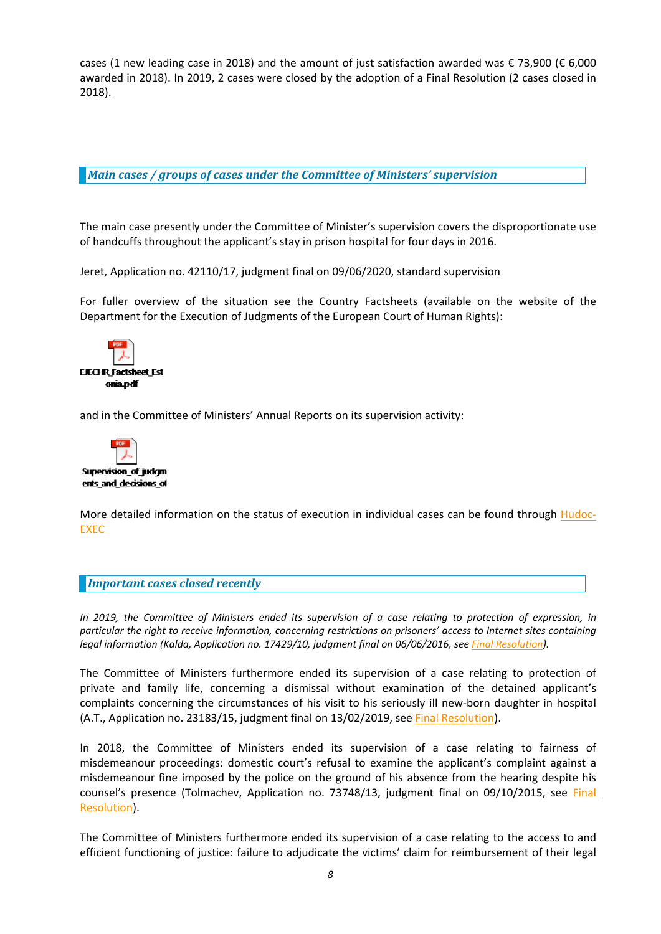<span id="page-7-0"></span>cases (1 new leading case in 2018) and the amount of just satisfaction awarded was € 73,900 (€ 6,000 awarded in 2018). In 2019, 2 cases were closed by the adoption of <sup>a</sup> Final Resolution (2 cases closed in 2018).

*Main cases / groups of cases under the Committee of Ministers' supervision*

The main case presently under the Committee of Minister'<sup>s</sup> supervision covers the disproportionate use of handcuffs throughout the applicant'<sup>s</sup> stay in prison hospital for four days in 2016.

Jeret, Application no. 42110/17, judgment final on 09/06/2020, standard supervision

For fuller overview of the situation see the Country Factsheets (available on the website of the Department for the Execution of Judgments of the European Court of Human Rights):



and in the Committee of Ministers' Annual Reports on its supervision activity:



More detailed information on the status of execution in individual cases can be found through **[Hudoc-](https://hudoc.exec.coe.int/ENG#{%22EXECDocumentTypeCollection%22:[%22CEC%22]})**[EXEC](https://hudoc.exec.coe.int/ENG#{%22EXECDocumentTypeCollection%22:[%22CEC%22]})

#### *Important cases closed recently*

In 2019, the Committee of Ministers ended its supervision of a case relating to protection of expression, in particular the right to receive information, concerning restrictions on prisoners' access to Internet sites containing *legal information (Kalda, Application no. 17429/10, judgment final on 06/06/2016, see Final [Resolution](http://hudoc.exec.coe.int/ENG?i=001-193272)).*

The Committee of Ministers furthermore ended its supervision of <sup>a</sup> case relating to protection of private and family life, concerning <sup>a</sup> dismissal without examination of the detained applicant'<sup>s</sup> complaints concerning the circumstances of his visit to his seriously ill new-born daughter in hospital (A.T., Application no. 23183/15, judgment final on 13/02/2019, see Final [Resolution](http://hudoc.exec.coe.int/ENG?i=001-197281)).

In 2018, the Committee of Ministers ended its supervision of <sup>a</sup> case relating to fairness of misdemeanour proceedings: domestic court'<sup>s</sup> refusal to examine the applicant'<sup>s</sup> complaint against <sup>a</sup> misdemeanour fine imposed by the police on the ground of his absence from the hearing despite his counsel'<sup>s</sup> presence (Tolmachev, Application no. 73748/13, judgment final on 09/10/2015, see [Final](http://hudoc.exec.coe.int/ENG?i=001-181023) [Resolution](http://hudoc.exec.coe.int/ENG?i=001-181023)).

The Committee of Ministers furthermore ended its supervision of <sup>a</sup> case relating to the access to and efficient functioning of justice: failure to adjudicate the victims' claim for reimbursement of their legal